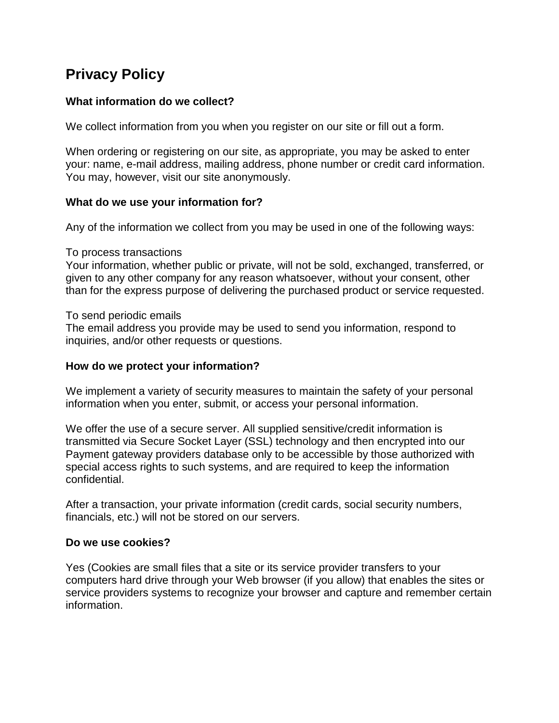# **Privacy Policy**

# **What information do we collect?**

We collect information from you when you register on our site or fill out a form.

When ordering or registering on our site, as appropriate, you may be asked to enter your: name, e-mail address, mailing address, phone number or credit card information. You may, however, visit our site anonymously.

# **What do we use your information for?**

Any of the information we collect from you may be used in one of the following ways:

## To process transactions

Your information, whether public or private, will not be sold, exchanged, transferred, or given to any other company for any reason whatsoever, without your consent, other than for the express purpose of delivering the purchased product or service requested.

# To send periodic emails

The email address you provide may be used to send you information, respond to inquiries, and/or other requests or questions.

## **How do we protect your information?**

We implement a variety of security measures to maintain the safety of your personal information when you enter, submit, or access your personal information.

We offer the use of a secure server. All supplied sensitive/credit information is transmitted via Secure Socket Layer (SSL) technology and then encrypted into our Payment gateway providers database only to be accessible by those authorized with special access rights to such systems, and are required to keep the information confidential.

After a transaction, your private information (credit cards, social security numbers, financials, etc.) will not be stored on our servers.

## **Do we use cookies?**

Yes (Cookies are small files that a site or its service provider transfers to your computers hard drive through your Web browser (if you allow) that enables the sites or service providers systems to recognize your browser and capture and remember certain information.